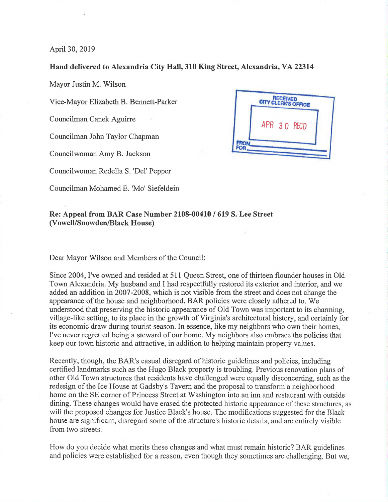April 30, 2019

## **Hand delivered to Alexandria City Hall, 310 King Street, Alexandria, VA 22314**

Mayor Justin M. Wilson

Vice-Mayor Elizabeth B. Bennett-Parker

Councilman Canek Aguirre

Councilman John Taylor Chapman

Councilwoman Amy B. Jackson

Councilwoman Redella S. 'Del' Pepper

Councilman Mohamed E. 'Mo' Siefeldein



## **Re: Appeal from BAR Case Number 2108-00410 / 619 S. Lee Street (Vowell/Snowden/Black House)**

Dear Mayor Wilson and Members of the Council:

Since 2004, I've owned and resided at 511 Queen Street, one of thirteen flounder houses in Old Town Alexandria. My husband and I had respectfully restored its exterior and interior, and we added an addition in 2007-2008, which is not visible from the street and does not change the appearance ofthe house and neighborhood. BAR policies were closely adhered to. We understood that preserving the historic appearance of Old Town was important to its charming, village-like setting, to its place in the growth of Virginia's architectural history, and certainly for its economic draw during tourist season. In essence, like my neighbors who own their homes. I've never regretted being a steward of our home. My neighbors also embrace the policies that keep our town historic and attractive, in addition to helping maintain property values.

Recently, though, the BAR's casual disregard of historic guidelines and policies, including certified landmarks such as the Hugo Black property is troubling. Previous renovation plans of other Old Town structures that residents have challenged were equally disconcerting, such as the redesign of the Ice House at Gadsby's Tavern and the proposal to transform a neighborhood home on the SE comer of Princess Street at Washington into an inn and restaurant with outside dining. These changes would have erased the protected historic appearance of these structures, as will the proposed changes for Justice Black's house. The modifications suggested for the Black house are significant, disregard some of the structure's historic details, and are entirely visible from two streets.

How do you decide what merits these changes and what must remain historic? BAR guidelines and policies were established for a reason, even though they sometimes are challenging. But we.